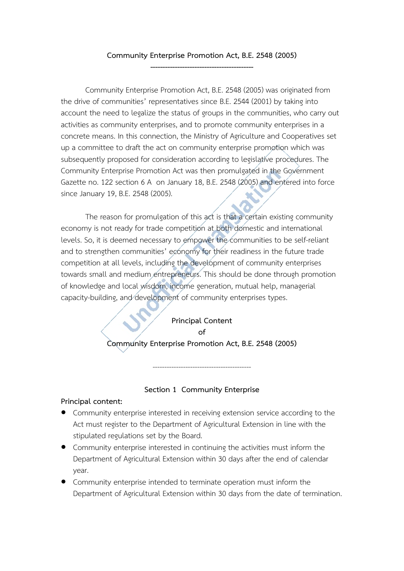# **Community Enterprise Promotion Act, B.E. 2548 (2005) ------------------------------------------**

Community Enterprise Promotion Act, B.E. 2548 (2005) was originated from the drive of communities' representatives since B.E. 2544 (2001) by taking into account the need to legalize the status of groups in the communities, who carry out activities as community enterprises, and to promote community enterprises in a concrete means. In this connection, the Ministry of Agriculture and Cooperatives set up a committee to draft the act on community enterprise promotion which was subsequently proposed for consideration according to legislative procedures. The Community Enterprise Promotion Act was then promulgated in the Government Gazette no. 122 section 6 A on January 18, B.E. 2548 (2005) and entered into force since January 19, B.E. 2548 (2005).

 The reason for promulgation of this act is that a certain existing community economy is not ready for trade competition at both domestic and international levels. So, it is deemed necessary to empower the communities to be self-reliant and to strengthen communities' economy for their readiness in the future trade competition at all levels, including the development of community enterprises towards small and medium entrepreneurs. This should be done through promotion of knowledge and local wisdom, income generation, mutual help, managerial capacity-building, and development of community enterprises types.

#### **Principal Content**   $\alpha$ **f**

# **Community Enterprise Promotion Act, B.E. 2548 (2005)**

#### **Section 1 Community Enterprise**

------------------------------------------

#### **Principal content:**

- Community enterprise interested in receiving extension service according to the Act must register to the Department of Agricultural Extension in line with the stipulated regulations set by the Board.
- Community enterprise interested in continuing the activities must inform the Department of Agricultural Extension within 30 days after the end of calendar year.
- Community enterprise intended to terminate operation must inform the Department of Agricultural Extension within 30 days from the date of termination.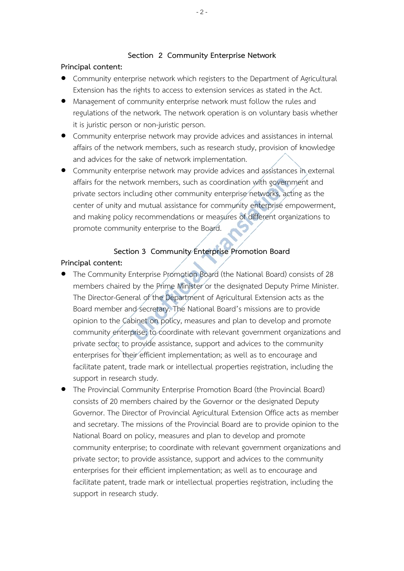## **Section 2 Community Enterprise Network**

#### **Principal content:**

- Community enterprise network which registers to the Department of Agricultural Extension has the rights to access to extension services as stated in the Act.
- Management of community enterprise network must follow the rules and regulations of the network. The network operation is on voluntary basis whether it is juristic person or non-juristic person.
- Community enterprise network may provide advices and assistances in internal affairs of the network members, such as research study, provision of knowledge and advices for the sake of network implementation.
- Community enterprise network may provide advices and assistances in external affairs for the network members, such as coordination with government and private sectors including other community enterprise networks, acting as the center of unity and mutual assistance for community enterprise empowerment, and making policy recommendations or measures of different organizations to promote community enterprise to the Board.

# **Section 3 Community Enterprise Promotion Board**

#### **Principal content:**

- The Community Enterprise Promotion Board (the National Board) consists of 28 members chaired by the Prime Minister or the designated Deputy Prime Minister. The Director-General of the Department of Agricultural Extension acts as the Board member and secretary. The National Board's missions are to provide opinion to the Cabinet on policy, measures and plan to develop and promote community enterprise; to coordinate with relevant government organizations and private sector; to provide assistance, support and advices to the community enterprises for their efficient implementation; as well as to encourage and facilitate patent, trade mark or intellectual properties registration, including the support in research study.
- The Provincial Community Enterprise Promotion Board (the Provincial Board) consists of 20 members chaired by the Governor or the designated Deputy Governor. The Director of Provincial Agricultural Extension Office acts as member and secretary. The missions of the Provincial Board are to provide opinion to the National Board on policy, measures and plan to develop and promote community enterprise; to coordinate with relevant government organizations and private sector; to provide assistance, support and advices to the community enterprises for their efficient implementation; as well as to encourage and facilitate patent, trade mark or intellectual properties registration, including the support in research study.